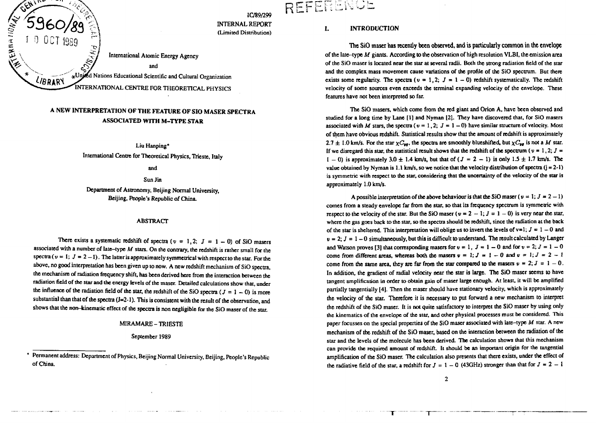

## **A NEW INTERPRETATION OF THE FEATURE OF SIO MASER SPECTRA ASSOCIATED WITH M-TYPE STAR**

**Liu Hanping\* International Centre for Theoretical Physics, Trieste, Italy**

**and**

**Sun Jin**

**Department of Astronomy, Beijing Normal University, Beijing, People's Republic of China.**

#### **ABSTRACT**

There exists a systematic redshift of spectra ( $v = 1, 2$ ;  $J = 1 - 0$ ) of SiO masers **associated with a number of late-type M stars. On the contrary, the redshift is rather small for the** spectra ( $v = 1$ ;  $J = 2 - 1$ ). The latter is approximately symmetrical with respect to the star. For the **above, no good interpretation has been given up to now. A new redshift mechanism of SiO spectra, the mechanism of radiation frequency shift, has been derived here from the interaction between the radiation field of the star and the energy levels of the maser. Detailed calculations show that, under** the influence of the radiation field of the star, the redshift of the SiO spectra ( $J = 1 - 0$ ) is more **substantial than that of the spectra (J=2-1). This is consistent with the result of the observation, and shows that the non-kinematic effect of the spectra is non negligible for the SiO maser of the star.**

#### **MIRAMARE-TRIESTE**

**September 1989**

**Permanent address: Department of Physics, Beijing Normal University, Beijing, People's Republic of China.**

# REFERENCE

**IC/89/299**

#### **i. INTRODUCTION**

**The SiO maser has recently been observed, and is particularly common in the envelope of the late-type Af giants. According to the observation of high resolution VLBI, the em ission area of the SiO maser is located near the star at several radii. Both the strong radiation field of the star and the complex mass movement cause variations of the profile of the SiO spectrum. But there** exists some regularity. The spectra ( $v = 1, 2$ ;  $J = 1 - 0$ ) redshift systematically. The redshift **velocity of some sources even exceeds the terminal expanding velocity of the envelope. These features have not been interpreted so far.**

**The SiO masers, which come from the red giant and Orion A, have been observed and studied for a long time by Lane [1] and Nyman [21. They have discovered that, for SiO masers associated with** *M* **stars, the spectra (** $v = 1, 2$ **;**  $J = 1 - 0$ **) have similar structure of velocity. Most of them have obvious redshift. Statistical results show that the amount of redshift is approximately**  $2.7 \pm 1.0$  km/s. For the star  $\chi C_{\text{w2}}$ , the spectra are smoothly blueshifted, but  $\chi C_{\text{w2}}$  is not a *M* star. If we disregard this star, the statistical result shows that the redshift of the spectrum ( $v = 1, 2; J =$ **1 - 0) is approximately 3.0 ± 1.4 km/s, but that of** *(J* **= 2 - I) is only 1.5 ± 1.7 km/s. The value obtained by Nyman is 1.1 km/s, so we notice that the velocity distribution of spectra (j = 2-1) is symmetric with respect to the star, considering that the uncertainty of the velocity of the star is approximately 1.0 km/s.**

**A** possible interpretation of the above behaviour is that the SiO maser ( $\nu = 1$ ;  $J = 2 - 1$ ) **comes from a steady envelope far from the star, so that its frequency spectrum is symmetric with** respect to the velocity of the star. But the SiO maser ( $v = 2 - 1$ ;  $J = 1 - 0$ ) is very near the star, **where the gas goes back to the star, so the spectra should be redshift, since the radiation at the back** of the star is sheltered. This interpretation will oblige us to invert the levels of  $v=1$ ;  $J=1-0$  and  $v = 2$ ;  $J = 1 - 0$  simultaneously, but this is difficult to understand. The result calculated by Langer and Watson proves [3] that corresponding masers for  $v=1$ ,  $J=1-0$  and for  $v=2$ ;  $J=1-0$ come from different areas, whereas both the masers  $y = 1$ ;  $J = 1 - 0$  and  $y = 1$ ;  $J = 2 - 1$ come from the same area, they are far from the star compared to the masers  $v = 2$ ;  $J = 1 - 0$ . **In addition, the gradient of radial velocity near the star is large. The SiO maser seems to have tangent amplification in order to obtain gain of maser large enough. At least, it will be amplified partially tangentially [4]. Then the maser should have stationary velocity, which is approximately the velocity of the star. Therefore it is necessary to put forward a new mechanism to interpret the redshift of the SiO maser. It is not quite satisfactory to interpret the SiO maser by using only the kinematics of the envelope of the star, and other physical processes must be considered. This paper focusses on the special properties of the SiO maser associated with late-type** *M* **star. A new mechanism of the redshift of the SiO maser, based on the interaction between the radiation of the star and the levels of the molecule has been derived. The calculation shows that this mechanism can provide the required amount of redshift. It should be an important origin for the tangential amplification of the SiO maser. The calculation also presents that there exists, under the effect of** the radiative field of the star, a redshift for  $J = 1 - 0$  (43GHz) stronger than that for  $J = 2 - 1$ 

**""TT**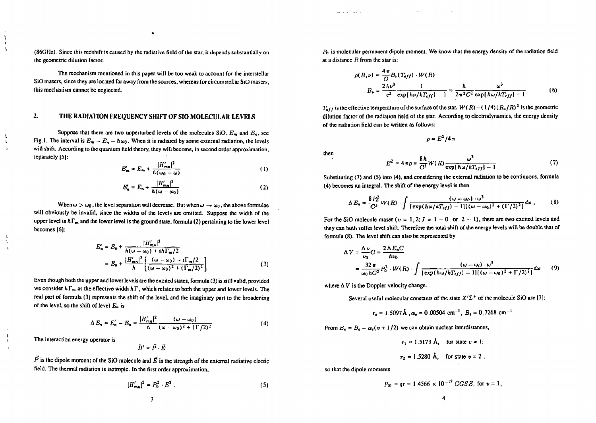(86GHz). Since this redshift is caused by the radiative field of the star, it depends substantially on the geometric dilution factor.

The mechanism mentioned in this paper will be too weak to account for the interstellar SiO masers, since they are located far away from the sources, whereas for circum stellar SiO masers, this mechanism cannot be neglected.

### 2. THE RADIATION FREQUENCY SHIFT OF SIO MOLECULAR LEVELS

Suppose that there are two unperturbed levels of the molecules SiO, *Em* and *En,* see Fig.1. The interval is  $E_m - E_n - \hbar \omega_0$ . When it is radiated by some external radiation, the levels will shift. According to the quantum field theory, they will become, in second order approximation, separately [5]:

$$
E'_{m} = E_{m} + \frac{|H'_{mn}|^2}{\hbar(\omega_0 - \omega)}
$$
 (1)

$$
E'_{n} = E_{n} + \frac{|H'_{mn}|^2}{\hbar(\omega - \omega_0)}
$$
 (2)

When  $\omega > \omega_0$ , the level separation will decrease. But when  $\omega \to \omega_0$ , the above formulae will obviously be invalid, since the widths of the levels are omitted. Suppose the width of the upper level is  $\hbar\Gamma_m$  and the lower level is the ground state, formula (2) pertaining to the lower level becomes [6]:

$$
E'_{n} = E_{n} + \frac{|H'_{mn}|^{2}}{h(\omega - \omega_{0}) + i\hbar\Gamma_{m}/2}
$$
  
= 
$$
E_{n} + \frac{|H'_{mn}|^{2}}{h} \left[ \frac{(\omega - \omega_{0}) - i\Gamma_{m}/2}{(\omega - \omega_{0})^{2} + (\Gamma_{m}/2)^{2}} \right]
$$
(3)

Even though both the upper and lower levels are the excited states, formula (3) is still valid, provided we consider  $\hbar \Gamma_m$  as the effective width  $\hbar \Gamma$ , which relates to both the upper and lower levels. The real part of formula (3) represents the shift of the level, and the imaginary part to the broadening of the level, so the shift of level *En* is

$$
\Delta E_n = E'_n - E_n = \frac{|H'_{n,n}|^2}{h} \frac{(\omega - \omega_0)}{(\omega - \omega_0)^2 + (\Gamma/2)^2}
$$
(4)

The interaction energy operator is

 $\mathbf{L}$ 

$$
\tilde{H}' = \vec{P} \cdot \vec{E}
$$

 $\vec{P}$  is the dipole moment of the SiO molecule and  $\vec{E}$  is the strength of the external radiative electic field. The thermal radiation is isotropic. In the first order approximation,

$$
|H'_{mn}|^2 = P_0^2 \cdot E^2 \tag{5}
$$

*Pa* is molecular permanent dipole moment. We know that the energy density of the radiation field at a distance *R* from the star is:

$$
\rho(R,\nu) = \frac{4\pi}{C} B_{\nu}(T_{eff}) \cdot W(R)
$$
  

$$
B_{\nu} = \frac{2h\nu^{3}}{c^{2}} \frac{1}{\exp[h\nu/kT_{eff}] - 1} = \frac{\hbar}{2\pi^{2}C^{2}} \frac{\omega^{3}}{\exp[h\omega/kT_{eff}] = 1}
$$
(6)

 $T_{eff}$  is the effective temperature of the surface of the star.  $W(R)$  – (1/4) ( $R_{\star}/R$ )<sup>2</sup> is the geometric dilution factor of the radiation field of the star. According to electrodynamics, the energy density of the radiation field can be written as follows:

 $\rho = E^2/4\pi$ 

then

$$
E^{2} = 4 \pi \rho = \frac{8 \hbar}{C^{3}} W(R) \frac{\omega^{3}}{\exp[\hbar \omega / kT_{eff}] - 1}
$$
 (7)

Substituting (7) and (5) into (4), and considering the external radiation to be continuous, formula (4) becomes an integral. The shift of the energy level is then

$$
\Delta E_n = \frac{8P_0^2}{C^3}W(R) \cdot \int \frac{(\omega - \omega_0) \cdot \omega^3}{[\exp(\hbar \omega/kT_{eff}) - 1][( \omega - \omega_0)^2 + (\Gamma/2)^2]} d\omega , \qquad (8)
$$

For the SiO molecule maser ( $v=1,2; J=1-0$  or  $2-1$ ), there are two excited levels and they can both suffer level shift. Therefore the total shift of the energy levels will be double that of formula (8). The level shift can also be represented by

$$
\Delta V = \frac{\Delta \nu}{\nu_0} C = \frac{2 \Delta E_n C}{h \nu_0}
$$
  
= 
$$
\frac{32 \pi}{\omega_0 h C^2} P_0^2 \cdot W(R) \cdot \int \frac{(\omega - \omega_i) \cdot \omega^3}{[\exp(h \omega/kT_{eff}) - 1] [(\omega - \omega_0)^2 + \Gamma/2]^2]} d\omega
$$
 (9)

where  $\Delta V$  is the Doppler velocity change.

Several useful molecular constants of the state  $X^{\prime} \mathcal{L}^{+}$  of the molecule SiO are [7]:

$$
r_e = 1.5097
$$
 Å,  $\alpha_e = 0.00504$  cm<sup>-1</sup>,  $B_e = 0.7268$  cm<sup>-1</sup>

From  $B_v = B_e - \alpha_e (v + 1/2)$  we can obtain nuclear interdistances,

$$
r_1 = 1.5173
$$
 Å, for state  $v = 1$ ;  
 $r_2 = 1.5280$  Å, for state  $v = 2$ .

so that the dipole moments

$$
P_{01} = qr = 1.4566 \times 10^{-17} CGSE, \text{ for } v = 1,
$$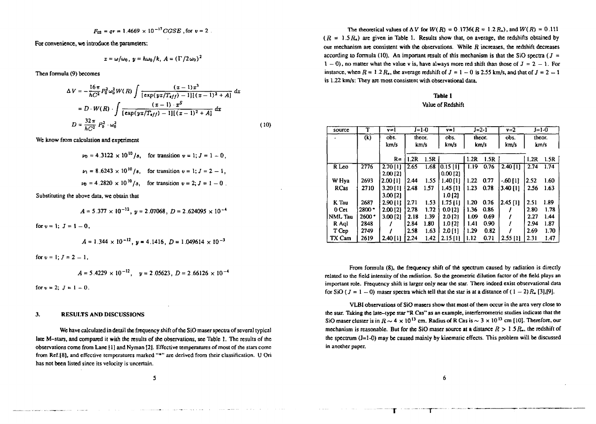$$
F_{02} = qr = 1.4669 \times 10^{-17} CGSE
$$
, for  $v = 2$ .

For convenience, we introduce the parameters:

$$
x=\omega/\omega_0, y=h\omega_0/k, A=(\Gamma/2\omega_0)^2
$$

Then formula (9) becomes

$$
\Delta V = -\frac{16\pi}{hC^2} P_0^2 \omega_0^2 W(R) \int \frac{(x-1)x^3}{[\exp(yx/T_{eff}) - 1][(x-1)^2 + A]} dx
$$
  
=  $D \cdot W(R) \cdot \int \frac{(x-1) \cdot x^S}{[\exp(yx/T_{eff}) - 1][(x-1)^2 + A]} dx$   

$$
D = \frac{32\pi}{hC^2} P_0^2 \cdot \omega_0^2
$$
(10)

**We know from calculation and experiment**

$$
\nu_0 = 4.3122 \times 10^{10} / s, \quad \text{for transition } v = 1; J = 1 - 0,
$$
\n
$$
\nu_1 = 8.6243 \times 10^{10} / s, \quad \text{for transition } v = 1; J = 2 - 1,
$$
\n
$$
\nu_0 = 4.2820 \times 10^{10} / s, \quad \text{for transition } v = 2; J = 1 - 0.
$$

**Substituting the above data, we obtain that**

$$
A = 5.377 \times 10^{-12}
$$
,  $y = 2.07068$ ,  $D = 2.624095 \times 10^{-4}$ 

for  $y = 1$ ;  $J = 1 - 0$ ,

$$
A = 1.344 \times 10^{-12}
$$
,  $y = 4.1416$ ,  $D = 1.049614 \times 10^{-3}$ 

for  $v = 1$ ;  $J = 2 - 1$ .

$$
A = 5.4229 \times 10^{-12}, \quad y = 2.05623, \ D = 2.66126 \times 10^{-4}
$$

for  $v = 2$ ;  $J = 1 - 0$ .

#### *3.* **RESULTS AND DISCUSSIONS**

**We have calculated in detail the frequency shift of the SiO maser spectra of several typical** late M-stars, and compared it with the results of the observations, see Table 1. The results of the **observations come from Lane [ 1 ] and Nyman [2J. Effective temperatures of most of the stars come from Ref.[8], and effective temperatures marked "\*" ate derived from their classification. U Ori has not been listed since its velocity is uncertain.**

The theoretical values of  $\Delta V$  for  $W(R) = 0.1736(R = 1.2 R_\star)$ , and  $W(R) = 0.111$ *(R =* 1.5*Rt)* are given in Table 1. Results show that, on average, the redshifts obtained by OUT mechanism ait consistent with the observations. While *R* increases, the redshift decreases according to formula (10). An important result of this mechanism is that the SiO spectra ( $J =$  $1 - 0$ ), no matter what the value v is, have always more red shift than those of  $J = 2 - 1$ . For instance, when  $R = 1.2 R<sub>a</sub>$ , the average redshift of  $J = 1 - 0$  is 2.55 km/s, and that of  $J = 2 - 1$ is 1.22 km/s: They are most consistent with observational data.

## **Table 1**

#### Value of Redshift

| source         |         | $v=1$      | $J=1-0$ |      | $v=1$      | $J = 2 - 1$ |      | $v=2$      | $J=1-0$ |      |
|----------------|---------|------------|---------|------|------------|-------------|------|------------|---------|------|
|                | (k)     | obs.       | theor.  |      | obs.       | theor.      |      | obs.       | theor.  |      |
|                |         | km/s       | km/s    |      | km/s       | km/s        |      | km/s       | km/s    |      |
|                |         | $R =$      | 1.2R    | 1.5R |            | 1.2R        | 1.5R |            | 1.2R    | 1.5R |
| R Leo          | 2776    | 2.70[1]    | 2.65    | 1.68 | $0.15$ [1] | 1.19        | 0.76 | 2.40[1]    | 2.74    | 1.74 |
|                |         | 2.00 [2]   |         |      | 0.00121    |             |      |            |         |      |
| W Hya          | 2693    | 2.00111    | 2.44    | 1.55 | 1.40[1]    | 1.22        | 0.77 | $-60$ [1]  | 2.52    | 1.60 |
| <b>RCas</b>    | 2710    | 3.20[1]    | 2.48    | 1.57 | 1.45 [1]   | 1.23        | 0.78 | 3.40 [1]   | 2.56    | 1.63 |
|                |         | $3.00$ [2] |         |      | 1.0121     |             |      |            |         |      |
| K Tau          | 2687    | 2.90 [1]   | 2.71    | 1.53 | $1.75$ [1] | 1.20        | 0.76 | $2.45$ [1] | 2.51    | 1.89 |
| 0 Cet          | $2800*$ | 2.00 [2]   | 2.78    | 1.72 | 0.0121     | 1.36        | 0.86 |            | 2.80    | 1.78 |
| <b>NML</b> Tau | $2600*$ | 3.00 [2]   | 2.18    | 1.39 | $2.0$ [2]  | 1.09        | 0.69 |            | 2.27    | 1.44 |
| R Aol          | 2848    |            | 2.84    | 1.80 | $1.0$ [2]  | 1.41        | 0.90 |            | 2.94    | 1.87 |
| T Cep          | 2749    |            | 2.58    | 1.63 | $2.0$ [1]  | 1.29        | 0.82 |            | 2.69    | 1.70 |
| TX Cam         | 2619    | 2.40[1]    | 2.24    | 1.42 | 2.15[1]    | 1.12        | 0.71 | $2.55$ [1] | 2.31    | 1.47 |

From formula (8), the frequency shift of the spectrum caused by radiation is directly **related to the field intensity of the radiation. So the geometric dilution factor of ihe field plays an important role. Frequency shift is larger only near the star. There indeed exist observational data** for SiO ( $J = 1 - 0$ ) maser spectra which tell that the star is at a distance of  $(1 - 2)R$ . [3],[9].

**VLBI observations of SiO masers show that most of them occur in the area very close to the star. Taking the late-type star "R Cas" as an example, interfenometric studies indicate that the** SiO maser cluster is in  $R \sim 4 \times 10^{13}$  cm. Radius of R Cas is  $\sim 3 \times 10^{13}$  cm [10]. Therefore, our mechanism is reasonable. But for the SiO maser source at a distance  $R > 1.5R<sub>es</sub>$ , the redshift of **the spectrum <J=1-O) may be caused mainly by kinematic effects. This problem will be discussed in another paper.**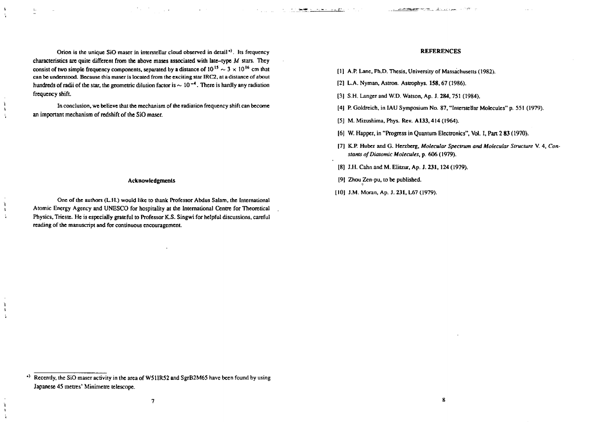Orion is the unique SiO maser in interstellar cloud observed in detail\*). Its frequency characteristics are quite different from the above mases associated with late-type M stars. They consist of two simple frequency components, separated by a distance of  $10^{15} \sim 3 \times 10^{16}$  cm that can be understood. Because this maser is located from the exciting star IRC2, at a distance of about hundreds of radii of the star, the geometric dilution factor is  $\sim 10^{-4}$ . There is hardly any radiation frequency shift.

In conclusion, we believe that the mechanism of the radiation frequency shift can become **an important mechanism of redshift of the SiO maser.**

 $\lambda$ 

 $\mathbf{t}$  $\mathbf{I}_\bullet$ 

#### **Acknowledgments**

One of the authors (L.H.) would like to thank Professor Abdus Salam, the International Atomic Energy Agency and UNESCO for hospitality at the International Centre for Theoretical Physics, Trieste. He is especially grateful to Professor K.S. Singwi for helpful discussions, careful reading of the manuscript and for continuous encouragement.

#### REFERENCES

دو ۱۳۸۳ کال در این میلی و <u>در در اینکار از معرفت میشود. معرفی میباشد که در ای</u>

- [1J A.P. Lane, Ph.D. Thesis, University of Massachusetts (1982).
- [2] L.A. Nyman, Astron. Astrophys. **158,** 67 (1986).
- (3) S.H. Langer and W.D. Watson, Ap. J. **284,** 751 (1984).
- [4] P. Goldreich, in IAU Symposium No. 87, "Interstellar Molecules" p. 551 (1979).
- [5] M. Mizushima, Phys. Rev. **A133.414** (1964).
- **[6] W. Happer, in "Progress in Quantum Electronics", Vol. I, Pan 2 83 (1970).**
- [7] K.P. Huber and G. Herzberg. *Molecular Spectrum and Molecular Structure* V. 4, *Constants of Diatomic Molecules,* p. 606 (1979).
- [8] J.H. Cahn and M. Elitzur, Ap. J. **231,**124 (1979).
- [9] Zhou Zen-pu, to be published.

**Summer Constructions** (Pro-

[10] J.M. Moran, Ap. J. **231,** L67 (1979).

 $\overline{7}$ 

<sup>\*&#</sup>x27; Recently, the SiO maser activity in the area of W51IR52 and SgrB2M65 have been found by using Japanese 45 metres' Minimetre telescope.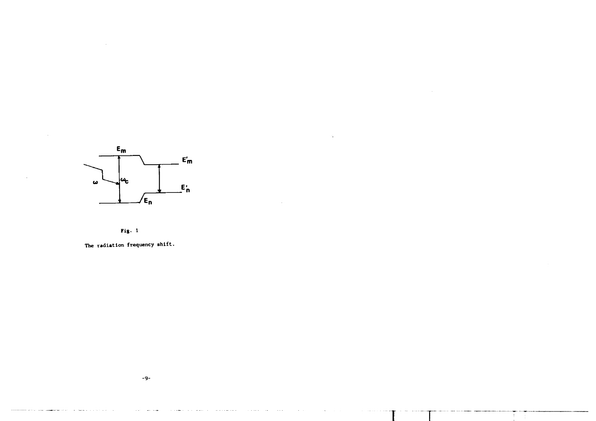

 $\sim$ 



The radiation frequency shift.